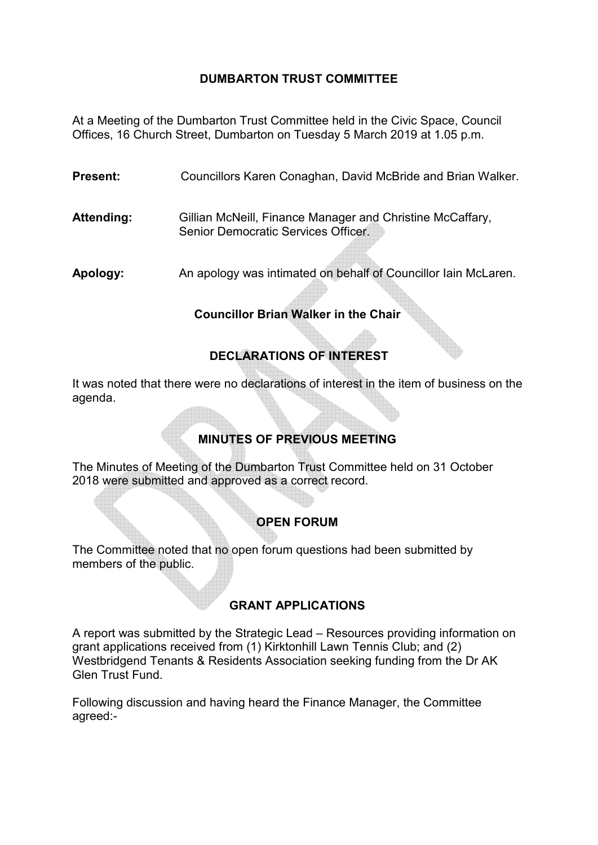### **DUMBARTON TRUST COMMITTEE**

At a Meeting of the Dumbarton Trust Committee held in the Civic Space, Council Offices, 16 Church Street, Dumbarton on Tuesday 5 March 2019 at 1.05 p.m.

**Present:** Councillors Karen Conaghan, David McBride and Brian Walker.

**Attending:** Gillian McNeill, Finance Manager and Christine McCaffary, Senior Democratic Services Officer.

**Apology:** An apology was intimated on behalf of Councillor Iain McLaren.

### **Councillor Brian Walker in the Chair**

## **DECLARATIONS OF INTEREST**

It was noted that there were no declarations of interest in the item of business on the agenda.

# **MINUTES OF PREVIOUS MEETING**

The Minutes of Meeting of the Dumbarton Trust Committee held on 31 October 2018 were submitted and approved as a correct record.

### **OPEN FORUM**

The Committee noted that no open forum questions had been submitted by members of the public.

### **GRANT APPLICATIONS**

A report was submitted by the Strategic Lead – Resources providing information on grant applications received from (1) Kirktonhill Lawn Tennis Club; and (2) Westbridgend Tenants & Residents Association seeking funding from the Dr AK Glen Trust Fund.

Following discussion and having heard the Finance Manager, the Committee agreed:-